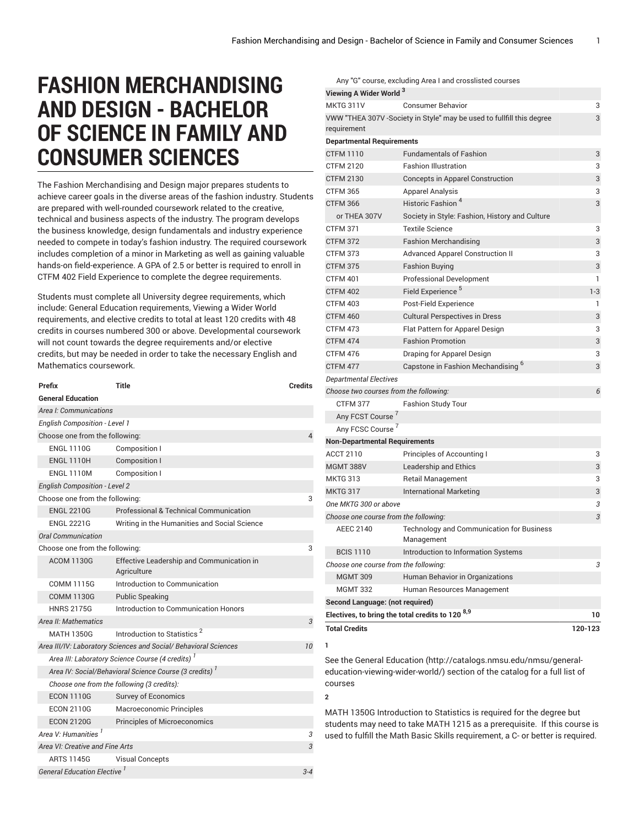Any "G" course, excluding Area I and crosslisted courses

# **FASHION MERCHANDISING AND DESIGN - BACHELOR OF SCIENCE IN FAMILY AND CONSUMER SCIENCES**

The Fashion Merchandising and Design major prepares students to achieve career goals in the diverse areas of the fashion industry. Students are prepared with well-rounded coursework related to the creative, technical and business aspects of the industry. The program develops the business knowledge, design fundamentals and industry experience needed to compete in today's fashion industry. The required coursework includes completion of a minor in Marketing as well as gaining valuable hands-on field-experience. A GPA of 2.5 or better is required to enroll in CTFM 402 Field Experience to complete the degree requirements.

Students must complete all University degree requirements, which include: General Education requirements, Viewing a Wider World requirements, and elective credits to total at least 120 credits with 48 credits in courses numbered 300 or above. Developmental coursework will not count towards the degree requirements and/or elective credits, but may be needed in order to take the necessary English and Mathematics coursework.

| Prefix                                                       | Title                                                            | <b>Credits</b> |
|--------------------------------------------------------------|------------------------------------------------------------------|----------------|
| <b>General Education</b>                                     |                                                                  |                |
| Area I: Communications                                       |                                                                  |                |
| <b>English Composition - Level 1</b>                         |                                                                  |                |
| Choose one from the following:                               |                                                                  | 4              |
| <b>ENGL 1110G</b>                                            | Composition I                                                    |                |
| <b>ENGL 1110H</b>                                            | <b>Composition I</b>                                             |                |
| <b>ENGL 1110M</b>                                            | Composition I                                                    |                |
| <b>English Composition - Level 2</b>                         |                                                                  |                |
| Choose one from the following:                               |                                                                  | 3              |
| <b>ENGL 2210G</b>                                            | Professional & Technical Communication                           |                |
| <b>ENGL 2221G</b>                                            | Writing in the Humanities and Social Science                     |                |
| <b>Oral Communication</b>                                    |                                                                  |                |
| Choose one from the following:                               |                                                                  | 3              |
| <b>ACOM 1130G</b>                                            | Effective Leadership and Communication in<br>Agriculture         |                |
| <b>COMM 1115G</b>                                            | Introduction to Communication                                    |                |
| <b>COMM 1130G</b>                                            | <b>Public Speaking</b>                                           |                |
| <b>HNRS 2175G</b>                                            | Introduction to Communication Honors                             |                |
| Area II: Mathematics                                         |                                                                  | 3              |
| <b>MATH 1350G</b>                                            | Introduction to Statistics <sup>2</sup>                          |                |
|                                                              | Area III/IV: Laboratory Sciences and Social/ Behavioral Sciences | 10             |
| Area III: Laboratory Science Course (4 credits) <sup>1</sup> |                                                                  |                |
|                                                              | Area IV: Social/Behavioral Science Course (3 credits)            |                |
| Choose one from the following (3 credits):                   |                                                                  |                |
| <b>ECON 1110G</b>                                            | <b>Survey of Economics</b>                                       |                |
| <b>ECON 2110G</b>                                            | Macroeconomic Principles                                         |                |
| <b>ECON 2120G</b>                                            | <b>Principles of Microeconomics</b>                              |                |
| Area V <sup>.</sup> Humanities <sup>1</sup>                  |                                                                  | 3              |
| Area VI: Creative and Fine Arts                              |                                                                  | 3              |
| <b>ARTS 1145G</b>                                            | <b>Visual Concepts</b>                                           |                |
| <b>General Education Elective</b>                            |                                                                  | $3 - 4$        |

| Viewing A Wider World <sup>3</sup>                    |                                                                       |         |  |
|-------------------------------------------------------|-----------------------------------------------------------------------|---------|--|
| <b>MKTG 311V</b>                                      | <b>Consumer Behavior</b>                                              | 3       |  |
| requirement                                           | VWW "THEA 307V -Society in Style" may be used to fullfill this degree | 3       |  |
| <b>Departmental Requirements</b>                      |                                                                       |         |  |
| <b>CTFM 1110</b>                                      | <b>Fundamentals of Fashion</b>                                        | 3       |  |
| <b>CTFM 2120</b>                                      | <b>Fashion Illustration</b>                                           | 3       |  |
| <b>CTFM 2130</b>                                      | <b>Concepts in Apparel Construction</b>                               | 3       |  |
| <b>CTFM 365</b>                                       | <b>Apparel Analysis</b>                                               | 3       |  |
| <b>CTFM 366</b>                                       | Historic Fashion <sup>4</sup>                                         | 3       |  |
| or THEA 307V                                          | Society in Style: Fashion, History and Culture                        |         |  |
| <b>CTFM 371</b>                                       | <b>Textile Science</b>                                                | 3       |  |
| <b>CTFM 372</b>                                       | <b>Fashion Merchandising</b>                                          | 3       |  |
| <b>CTFM 373</b>                                       | <b>Advanced Apparel Construction II</b>                               | 3       |  |
| <b>CTFM 375</b>                                       | <b>Fashion Buying</b>                                                 | 3       |  |
| <b>CTFM 401</b>                                       | <b>Professional Development</b>                                       | 1       |  |
| <b>CTFM 402</b>                                       | Field Experience <sup>5</sup>                                         | $1 - 3$ |  |
| <b>CTFM 403</b>                                       | Post-Field Experience                                                 | 1       |  |
| CTFM 460                                              | <b>Cultural Perspectives in Dress</b>                                 | 3       |  |
| <b>CTFM 473</b>                                       | Flat Pattern for Apparel Design                                       | 3       |  |
| <b>CTFM 474</b>                                       | <b>Fashion Promotion</b>                                              | 3       |  |
| CTFM 476                                              | Draping for Apparel Design                                            | 3       |  |
| CTFM 477                                              | Capstone in Fashion Mechandising <sup>6</sup>                         | 3       |  |
| <b>Departmental Electives</b>                         |                                                                       |         |  |
| Choose two courses from the following:                |                                                                       | 6       |  |
| <b>CTFM 377</b>                                       | <b>Fashion Study Tour</b>                                             |         |  |
| Any FCST Course <sup>7</sup>                          |                                                                       |         |  |
| Any FCSC Course <sup>7</sup>                          |                                                                       |         |  |
| <b>Non-Departmental Requirements</b>                  |                                                                       |         |  |
| <b>ACCT 2110</b>                                      | Principles of Accounting I                                            | 3       |  |
| <b>MGMT 388V</b>                                      | Leadership and Ethics                                                 | 3       |  |
| <b>MKTG 313</b>                                       | <b>Retail Management</b>                                              | 3       |  |
| <b>MKTG 317</b>                                       | <b>International Marketing</b>                                        | 3       |  |
| One MKTG 300 or above                                 |                                                                       | 3       |  |
| Choose one course from the following:                 |                                                                       | 3       |  |
| <b>AEEC 2140</b>                                      | Technology and Communication for Business<br>Management               |         |  |
| <b>BCIS 1110</b>                                      | Introduction to Information Systems                                   |         |  |
| Choose one course from the following:                 |                                                                       | 3       |  |
| <b>MGMT 309</b>                                       | Human Behavior in Organizations                                       |         |  |
| <b>MGMT 332</b>                                       | Human Resources Management                                            |         |  |
| Second Language: (not required)                       |                                                                       |         |  |
| Electives, to bring the total credits to 120 $^{8,9}$ |                                                                       |         |  |
| <b>Total Credits</b>                                  |                                                                       | 120-123 |  |
| 1                                                     |                                                                       |         |  |

See the General [Education](http://catalogs.nmsu.edu/nmsu/general-education-viewing-wider-world/) ([http://catalogs.nmsu.edu/nmsu/general](http://catalogs.nmsu.edu/nmsu/general-education-viewing-wider-world/)[education-viewing-wider-world/\)](http://catalogs.nmsu.edu/nmsu/general-education-viewing-wider-world/) section of the catalog for a full list of courses

**2**

MATH 1350G Introduction to Statistics is required for the degree but students may need to take MATH 1215 as a prerequisite. If this course is used to fulfill the Math Basic Skills requirement, a C- or better is required.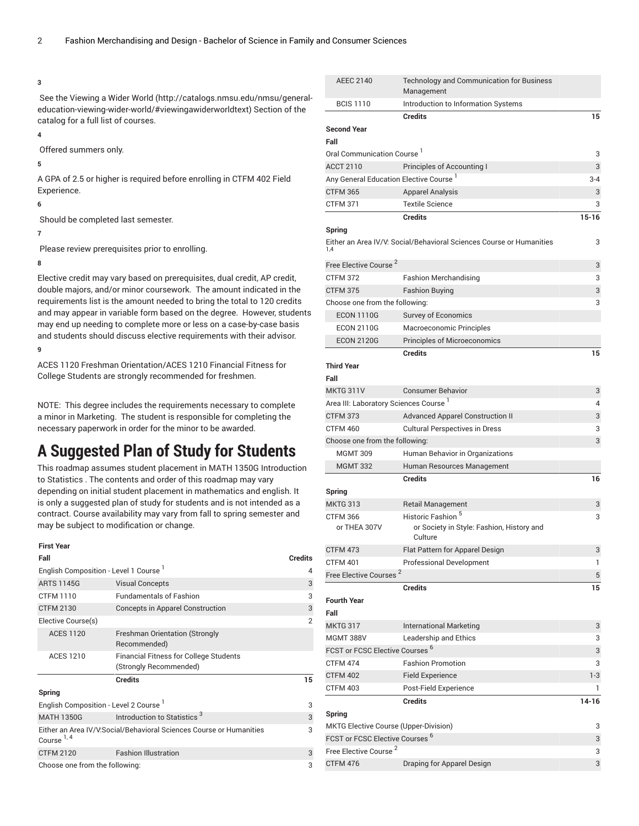#### **3**

 See the [Viewing](http://catalogs.nmsu.edu/nmsu/general-education-viewing-wider-world/#viewingawiderworldtext) a Wider World ([http://catalogs.nmsu.edu/nmsu/general](http://catalogs.nmsu.edu/nmsu/general-education-viewing-wider-world/#viewingawiderworldtext)[education-viewing-wider-world/#viewingawiderworldtext\)](http://catalogs.nmsu.edu/nmsu/general-education-viewing-wider-world/#viewingawiderworldtext) Section of the catalog for a full list of courses.

### **4**

Offered summers only.

### **5**

A GPA of 2.5 or higher is required before enrolling in CTFM 402 Field Experience.

### **6**

Should be completed last semester.

## **7**

Please review prerequisites prior to enrolling.

### **8**

Elective credit may vary based on prerequisites, dual credit, AP credit, double majors, and/or minor coursework. The amount indicated in the requirements list is the amount needed to bring the total to 120 credits and may appear in variable form based on the degree. However, students may end up needing to complete more or less on a case-by-case basis and students should discuss elective requirements with their advisor.

### **9**

ACES 1120 Freshman Orientation/ACES 1210 Financial Fitness for College Students are strongly recommended for freshmen.

NOTE: This degree includes the requirements necessary to complete a minor in Marketing. The student is responsible for completing the necessary paperwork in order for the minor to be awarded.

## **A Suggested Plan of Study for Students**

This roadmap assumes student placement in MATH 1350G Introduction to Statistics . The contents and order of this roadmap may vary depending on initial student placement in mathematics and english. It is only a suggested plan of study for students and is not intended as a contract. Course availability may vary from fall to spring semester and may be subject to modification or change.

### **First Year**

| Fall                                              |                                                                         | <b>Credits</b> |
|---------------------------------------------------|-------------------------------------------------------------------------|----------------|
| English Composition - Level 1 Course '            |                                                                         | 4              |
| <b>ARTS 1145G</b>                                 | <b>Visual Concepts</b>                                                  | 3              |
| <b>CTFM 1110</b>                                  | <b>Fundamentals of Fashion</b>                                          | 3              |
| <b>CTFM 2130</b>                                  | Concepts in Apparel Construction                                        | 3              |
| Elective Course(s)                                |                                                                         | $\overline{2}$ |
| <b>ACES 1120</b>                                  | <b>Freshman Orientation (Strongly</b><br>Recommended)                   |                |
| <b>ACES 1210</b>                                  | <b>Financial Fitness for College Students</b><br>(Strongly Recommended) |                |
|                                                   | <b>Credits</b>                                                          | 15             |
| Spring                                            |                                                                         |                |
| English Composition - Level 2 Course <sup>1</sup> |                                                                         | 3              |
| <b>MATH 1350G</b>                                 | Introduction to Statistics <sup>3</sup>                                 | 3              |
| Course <sup>1, 4</sup>                            | Either an Area IV/V:Social/Behavioral Sciences Course or Humanities     | 3              |
| <b>CTFM 2120</b>                                  | <b>Fashion Illustration</b>                                             | 3              |
| Choose one from the following:                    |                                                                         |                |

| <b>AEEC 2140</b>                                   | Technology and Communication for Business<br>Management                               |           |
|----------------------------------------------------|---------------------------------------------------------------------------------------|-----------|
| <b>BCIS 1110</b>                                   | Introduction to Information Systems                                                   |           |
|                                                    | <b>Credits</b>                                                                        | 15        |
| <b>Second Year</b>                                 |                                                                                       |           |
| Fall                                               |                                                                                       |           |
| Oral Communication Course <sup>1</sup>             |                                                                                       | 3         |
| <b>ACCT 2110</b>                                   | Principles of Accounting I                                                            | 3         |
| Any General Education Elective Course <sup>1</sup> |                                                                                       | $3 - 4$   |
| <b>CTFM 365</b>                                    | <b>Apparel Analysis</b>                                                               | 3         |
| <b>CTFM 371</b>                                    | <b>Textile Science</b>                                                                | 3         |
|                                                    | <b>Credits</b>                                                                        | $15 - 16$ |
| Spring                                             |                                                                                       |           |
| 1.4                                                | Either an Area IV/V: Social/Behavioral Sciences Course or Humanities                  | 3         |
| Free Elective Course <sup>2</sup>                  |                                                                                       | 3         |
| <b>CTFM 372</b>                                    | <b>Fashion Merchandising</b>                                                          | 3         |
| <b>CTFM 375</b>                                    | <b>Fashion Buying</b>                                                                 | 3         |
| Choose one from the following:                     |                                                                                       | 3         |
| <b>ECON 1110G</b>                                  | <b>Survey of Economics</b>                                                            |           |
| <b>ECON 2110G</b>                                  | Macroeconomic Principles                                                              |           |
| <b>ECON 2120G</b>                                  | <b>Principles of Microeconomics</b>                                                   |           |
|                                                    | <b>Credits</b>                                                                        | 15        |
| <b>Third Year</b>                                  |                                                                                       |           |
| Fall                                               |                                                                                       |           |
| <b>MKTG 311V</b>                                   | <b>Consumer Behavior</b>                                                              | 3         |
| Area III: Laboratory Sciences Course <sup>1</sup>  |                                                                                       | 4         |
| <b>CTFM 373</b>                                    |                                                                                       | 3         |
| CTFM 460                                           | <b>Advanced Apparel Construction II</b>                                               |           |
|                                                    | <b>Cultural Perspectives in Dress</b>                                                 | 3<br>3    |
| Choose one from the following:                     |                                                                                       |           |
| <b>MGMT 309</b>                                    | Human Behavior in Organizations                                                       |           |
| <b>MGMT 332</b>                                    | Human Resources Management                                                            |           |
|                                                    | <b>Credits</b>                                                                        | 16        |
| Spring                                             |                                                                                       |           |
| <b>MKTG 313</b>                                    | <b>Retail Management</b>                                                              | 3         |
| <b>CTFM 366</b><br>or THEA 307V                    | Historic Fashion <sup>5</sup><br>or Society in Style: Fashion, History and<br>Culture | 3         |
| CTFM 473                                           | Flat Pattern for Apparel Design                                                       | 3         |
| <b>CTFM 401</b>                                    | <b>Professional Development</b>                                                       | 1         |
| Free Elective Courses <sup>2</sup>                 |                                                                                       | 5         |
|                                                    | <b>Credits</b>                                                                        | 15        |
| <b>Fourth Year</b>                                 |                                                                                       |           |
| Fall                                               |                                                                                       |           |
| <b>MKTG 317</b>                                    | <b>International Marketing</b>                                                        | 3         |
| <b>MGMT 388V</b>                                   | Leadership and Ethics                                                                 | 3         |
| <b>FCST or FCSC Elective Courses</b>               | $\overline{6}$                                                                        | 3         |
| <b>CTFM 474</b>                                    | <b>Fashion Promotion</b>                                                              | 3         |
| <b>CTFM 402</b>                                    | <b>Field Experience</b>                                                               | $1-3$     |
| <b>CTFM 403</b>                                    | Post-Field Experience                                                                 | 1         |
|                                                    | <b>Credits</b>                                                                        | $14 - 16$ |
| Spring                                             |                                                                                       |           |
| MKTG Elective Course (Upper-Division)              |                                                                                       | 3         |
| FCST or FCSC Elective Courses <sup>6</sup>         |                                                                                       | 3         |
| Free Elective Course <sup>2</sup>                  |                                                                                       | 3         |
| <b>CTFM 476</b>                                    | Draping for Apparel Design                                                            | 3         |